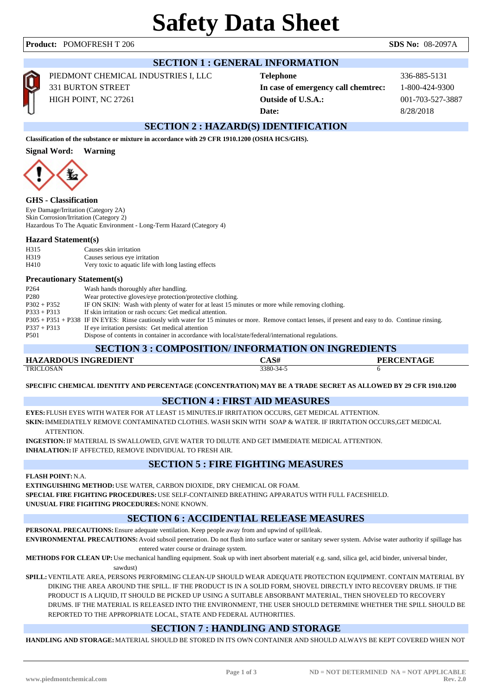| <b>SECTION 1 : GENERAL INFORMATION</b>                                                          |                                                                                                                                                                                                                                                                                                                                                                                                                                                                                                                                                                                                                              |                                                                                               |                                                                 |  |  |
|-------------------------------------------------------------------------------------------------|------------------------------------------------------------------------------------------------------------------------------------------------------------------------------------------------------------------------------------------------------------------------------------------------------------------------------------------------------------------------------------------------------------------------------------------------------------------------------------------------------------------------------------------------------------------------------------------------------------------------------|-----------------------------------------------------------------------------------------------|-----------------------------------------------------------------|--|--|
|                                                                                                 | PIEDMONT CHEMICAL INDUSTRIES I, LLC<br>331 BURTON STREET<br>HIGH POINT, NC 27261                                                                                                                                                                                                                                                                                                                                                                                                                                                                                                                                             | <b>Telephone</b><br>In case of emergency call chemtrec:<br><b>Outside of U.S.A.:</b><br>Date: | 336-885-5131<br>1-800-424-9300<br>001-703-527-3887<br>8/28/2018 |  |  |
|                                                                                                 |                                                                                                                                                                                                                                                                                                                                                                                                                                                                                                                                                                                                                              | <b>SECTION 2 : HAZARD(S) IDENTIFICATION</b>                                                   |                                                                 |  |  |
|                                                                                                 | Classification of the substance or mixture in accordance with 29 CFR 1910.1200 (OSHA HCS/GHS).                                                                                                                                                                                                                                                                                                                                                                                                                                                                                                                               |                                                                                               |                                                                 |  |  |
| <b>Signal Word:</b>                                                                             | <b>Warning</b>                                                                                                                                                                                                                                                                                                                                                                                                                                                                                                                                                                                                               |                                                                                               |                                                                 |  |  |
| <b>GHS</b> - Classification                                                                     | Eye Damage/Irritation (Category 2A)<br>Skin Corrosion/Irritation (Category 2)<br>Hazardous To The Aquatic Environment - Long-Term Hazard (Category 4)                                                                                                                                                                                                                                                                                                                                                                                                                                                                        |                                                                                               |                                                                 |  |  |
| <b>Hazard Statement(s)</b>                                                                      |                                                                                                                                                                                                                                                                                                                                                                                                                                                                                                                                                                                                                              |                                                                                               |                                                                 |  |  |
| H315<br>H319                                                                                    | Causes skin irritation<br>Causes serious eye irritation                                                                                                                                                                                                                                                                                                                                                                                                                                                                                                                                                                      |                                                                                               |                                                                 |  |  |
| H410                                                                                            | Very toxic to aquatic life with long lasting effects                                                                                                                                                                                                                                                                                                                                                                                                                                                                                                                                                                         |                                                                                               |                                                                 |  |  |
| P <sub>264</sub><br>P <sub>280</sub><br>$P302 + P352$<br>$P333 + P313$<br>$P337 + P313$<br>P501 | <b>Precautionary Statement(s)</b><br>Wash hands thoroughly after handling.<br>Wear protective gloves/eye protection/protective clothing.<br>IF ON SKIN: Wash with plenty of water for at least 15 minutes or more while removing clothing.<br>If skin irritation or rash occurs: Get medical attention.<br>P305 + P351 + P338 IF IN EYES: Rinse cautiously with water for 15 minutes or more. Remove contact lenses, if present and easy to do. Continue rinsing.<br>If eye irritation persists: Get medical attention<br>Dispose of contents in container in accordance with local/state/federal/international regulations. |                                                                                               |                                                                 |  |  |
| <b>SECTION 3 : COMPOSITION/ INFORMATION ON INGREDIENTS</b>                                      |                                                                                                                                                                                                                                                                                                                                                                                                                                                                                                                                                                                                                              |                                                                                               |                                                                 |  |  |
|                                                                                                 | <b>HAZARDOUS INGREDIENT</b>                                                                                                                                                                                                                                                                                                                                                                                                                                                                                                                                                                                                  | CAS#<br>3380-34-5                                                                             | <b>PERCENTAGE</b>                                               |  |  |
| <b>TRICLOSAN</b>                                                                                | SPECIFIC CHEMICAL IDENTITY AND PERCENTAGE (CONCENTRATION) MAY BE A TRADE SECRET AS ALLOWED BY 29 CFR 1910.1200<br><b>EYES:</b> FLUSH EYES WITH WATER FOR AT LEAST 15 MINUTES.IF IRRITATION OCCURS, GET MEDICAL ATTENTION.                                                                                                                                                                                                                                                                                                                                                                                                    | <b>SECTION 4 : FIRST AID MEASURES</b>                                                         | 6                                                               |  |  |
| <b>ATTENTION</b>                                                                                | <b>SKIN:</b> IMMEDIATELY REMOVE CONTAMINATED CLOTHES. WASH SKIN WITH  SOAP & WATER. IF IRRITATION OCCURS,GET MEDICAL                                                                                                                                                                                                                                                                                                                                                                                                                                                                                                         |                                                                                               |                                                                 |  |  |

**INGESTION:**IF MATERIAL IS SWALLOWED, GIVE WATER TO DILUTE AND GET IMMEDIATE MEDICAL ATTENTION. **INHALATION:**IF AFFECTED, REMOVE INDIVIDUAL TO FRESH AIR.

## **SECTION 5 : FIRE FIGHTING MEASURES**

**FLASH POINT:**N.A.

**EXTINGUISHING METHOD:**USE WATER, CARBON DIOXIDE, DRY CHEMICAL OR FOAM. **SPECIAL FIRE FIGHTING PROCEDURES:**USE SELF-CONTAINED BREATHING APPARATUS WITH FULL FACESHIELD. **UNUSUAL FIRE FIGHTING PROCEDURES:**NONE KNOWN.

### **SECTION 6 : ACCIDENTIAL RELEASE MEASURES**

**PERSONAL PRECAUTIONS:**Ensure adequate ventilation. Keep people away from and upwind of spill/leak.

**ENVIRONMENTAL PRECAUTIONS:**Avoid subsoil penetration. Do not flush into surface water or sanitary sewer system. Advise water authority if spillage has entered water course or drainage system.

**METHODS FOR CLEAN UP:**Use mechanical handling equipment. Soak up with inert absorbent material( e.g. sand, silica gel, acid binder, universal binder, sawdust)

**SPILL:**VENTILATE AREA, PERSONS PERFORMING CLEAN-UP SHOULD WEAR ADEQUATE PROTECTION EQUIPMENT. CONTAIN MATERIAL BY DIKING THE AREA AROUND THE SPILL. IF THE PRODUCT IS IN A SOLID FORM, SHOVEL DIRECTLY INTO RECOVERY DRUMS. IF THE PRODUCT IS A LIQUID, IT SHOULD BE PICKED UP USING A SUITABLE ABSORBANT MATERIAL, THEN SHOVELED TO RECOVERY DRUMS. IF THE MATERIAL IS RELEASED INTO THE ENVIRONMENT, THE USER SHOULD DETERMINE WHETHER THE SPILL SHOULD BE REPORTED TO THE APPROPRIATE LOCAL, STATE AND FEDERAL AUTHORITIES.

# **SECTION 7 : HANDLING AND STORAGE**

**HANDLING AND STORAGE:**MATERIAL SHOULD BE STORED IN ITS OWN CONTAINER AND SHOULD ALWAYS BE KEPT COVERED WHEN NOT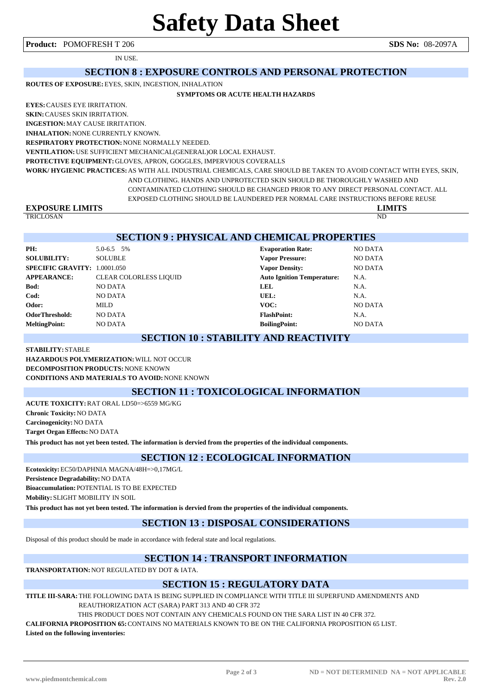IN USE.

#### **SECTION 8 : EXPOSURE CONTROLS AND PERSONAL PROTECTION**

**ROUTES OF EXPOSURE:**EYES, SKIN, INGESTION, INHALATION

#### **SYMPTOMS OR ACUTE HEALTH HAZARDS**

**EYES:**CAUSES EYE IRRITATION.

**SKIN:**CAUSES SKIN IRRITATION.

**INGESTION:**MAY CAUSE IRRITATION. **INHALATION:**NONE CURRENTLY KNOWN.

**RESPIRATORY PROTECTION:**NONE NORMALLY NEEDED.

**VENTILATION:**USE SUFFICIENT MECHANICAL(GENERAL)OR LOCAL EXHAUST.

**PROTECTIVE EQUIPMENT:**GLOVES, APRON, GOGGLES, IMPERVIOUS COVERALLS

**WORK/ HYGIENIC PRACTICES:**AS WITH ALL INDUSTRIAL CHEMICALS, CARE SHOULD BE TAKEN TO AVOID CONTACT WITH EYES, SKIN, AND CLOTHING. HANDS AND UNPROTECTED SKIN SHOULD BE THOROUGHLY WASHED AND

CONTAMINATED CLOTHING SHOULD BE CHANGED PRIOR TO ANY DIRECT PERSONAL CONTACT. ALL

EXPOSED CLOTHING SHOULD BE LAUNDERED PER NORMAL CARE INSTRUCTIONS BEFORE REUSE

# **EXPOSURE LIMITS**<br> **EXPOSURE LIMITS**<br> **EXPOSURE LIMITS**

TRICLOSAN ND

#### **SECTION 9 : PHYSICAL AND CHEMICAL PROPERTIES**

| PH:                                 | 5.0-6.5 5%                    | <b>Evaporation Rate:</b>          | <b>NO DATA</b> |
|-------------------------------------|-------------------------------|-----------------------------------|----------------|
| <b>SOLUBILITY:</b>                  | <b>SOLUBLE</b>                | <b>Vapor Pressure:</b>            | <b>NO DATA</b> |
| <b>SPECIFIC GRAVITY: 1.0001.050</b> |                               | <b>Vapor Density:</b>             | <b>NO DATA</b> |
| <b>APPEARANCE:</b>                  | <b>CLEAR COLORLESS LIQUID</b> | <b>Auto Ignition Temperature:</b> | N.A.           |
| Bod:                                | <b>NO DATA</b>                | <b>LEL</b>                        | N.A.           |
| Cod:                                | <b>NO DATA</b>                | UEL:                              | N.A.           |
| Odor:                               | MILD                          | VOC:                              | <b>NO DATA</b> |
| <b>OdorThreshold:</b>               | <b>NO DATA</b>                | <b>FlashPoint:</b>                | N.A.           |
| <b>MeltingPoint:</b>                | NO DATA                       | <b>BoilingPoint:</b>              | <b>NO DATA</b> |

#### **SECTION 10 : STABILITY AND REACTIVITY**

**STABILITY:** STABLE **HAZARDOUS POLYMERIZATION:**WILL NOT OCCUR **DECOMPOSITION PRODUCTS:**NONE KNOWN **CONDITIONS AND MATERIALS TO AVOID:**NONE KNOWN

#### **SECTION 11 : TOXICOLOGICAL INFORMATION**

**ACUTE TOXICITY:**RAT ORAL LD50=>6559 MG/KG **Chronic Toxicity:**NO DATA **Carcinogenicity:**NO DATA **Target Organ Effects:**NO DATA **This product has not yet been tested. The information is dervied from the properties of the individual components.**

#### **SECTION 12 : ECOLOGICAL INFORMATION**

**Ecotoxicity:**EC50/DAPHNIA MAGNA/48H=>0,17MG/L **Persistence Degradability:**NO DATA **Bioaccumulation:** POTENTIAL IS TO BE EXPECTED **Mobility:** SLIGHT MOBILITY IN SOIL

**This product has not yet been tested. The information is dervied from the properties of the individual components.**

#### **SECTION 13 : DISPOSAL CONSIDERATIONS**

Disposal of this product should be made in accordance with federal state and local regulations.

#### **SECTION 14 : TRANSPORT INFORMATION**

**TRANSPORTATION:**NOT REGULATED BY DOT & IATA.

#### **SECTION 15 : REGULATORY DATA**

**TITLE III-SARA:**THE FOLLOWING DATA IS BEING SUPPLIED IN COMPLIANCE WITH TITLE III SUPERFUND AMENDMENTS AND REAUTHORIZATION ACT (SARA) PART 313 AND 40 CFR 372

THIS PRODUCT DOES NOT CONTAIN ANY CHEMICALS FOUND ON THE SARA LIST IN 40 CFR 372.

**CALIFORNIA PROPOSITION 65:**CONTAINS NO MATERIALS KNOWN TO BE ON THE CALIFORNIA PROPOSITION 65 LIST.

**Listed on the following inventories:**